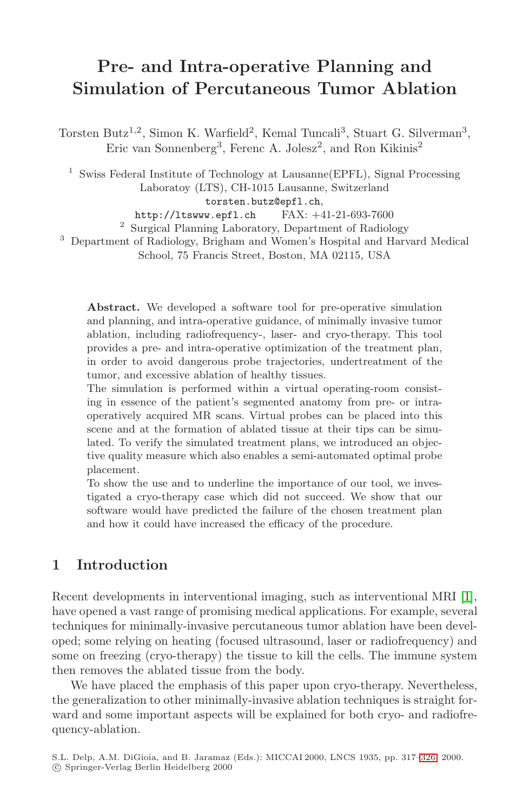# **Pre- and Intra-operative Planning and Simulation of Percutaneous Tumor Ablation**

Torsten Butz<sup>1,2</sup>, Simon K. Warfield<sup>2</sup>, Kemal Tuncali<sup>3</sup>, Stuart G. Silverman<sup>3</sup>, Eric van Sonnenberg<sup>3</sup>, Ferenc A. Jolesz<sup>2</sup>, and Ron Kikinis<sup>2</sup>

<sup>1</sup> Swiss Federal Institute of Technology at Lausanne (EPFL), Signal Processing Laboratoy (LTS), CH-1015 Lausanne, Switzerland

torsten.butz@epfl.ch,

http://ltswww.epfl.ch FAX: +41-21-693-7600

<sup>2</sup> Surgical Planning Laboratory, Department of Radiology

<sup>3</sup> Department of Radiology, Brigham and Women's Hospital and Harvard Medical School, 75 Francis Street, Boston, MA 02115, USA

Abstract. We developed a software tool for pre-operative simulation and planning, and intra-operative guidance, of minimally invasive tumor ablation, including radiofrequency-, laser- and cryo-therapy. This tool provides a pre- and intra-operative optimization of the treatment plan, in order to avoid dangerous probe trajectories, undertreatment of the tumor, and excessive ablation of healthy tissues.

The simulation is performed within a virtual operating-room consisting in essence of the patient's segmented anatomy from pre- or intraoperatively acquired MR scans. Virtual probes can be placed into this scene and at the formation of ablated tissue at their tips can be simulated. To verify the simulated treatment plans, we introduced an objective quality measure which also enables a semi-automated optimal probe placement.

To show the use and to underline the importance of our tool, we investigated a cryo-therapy case which did not succeed. We show that our software would have predicted the failure of the chosen treatment plan and how it could have increased the efficacy of the procedure.

### **1 Introduction**

Recent developments in interventional imaging, such as interventional MRI [\[1\]](#page-9-0), have opened a vast range of promising medical applications. For example, several techniques for minimally-invasive percutaneous tumor ablation have been developed; some relying on heating (focused ultrasound, laser or radiofrequency) and some on freezing (cryo-therapy) the tissue to kill the cells. The immune system then removes the ablated tissue from the body.

We have placed the emphasis of this paper upon cryo-therapy. Nevertheless, the generalization to other minimally-invasive ablation techniques is straight forward and some important aspects will be explained for both cryo- and radiofrequency-ablation.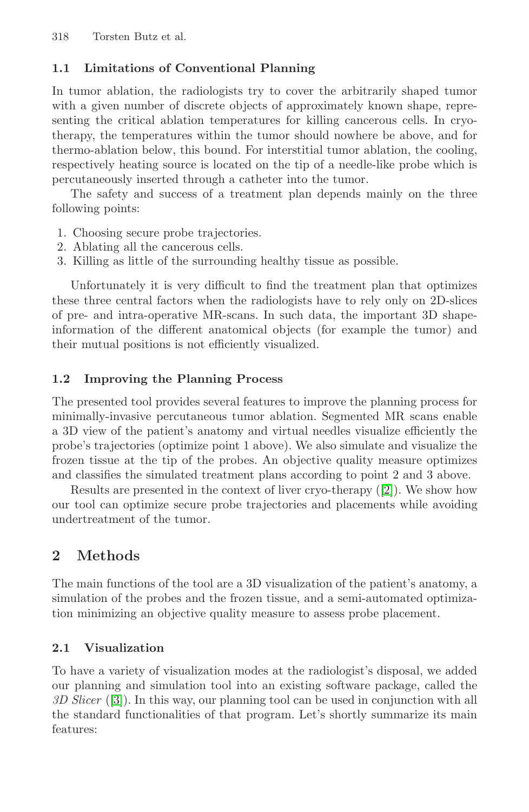# **1.1 Limitations of Conventional Planning**

In tumor ablation, the radiologists try to cover the arbitrarily shaped tumor with a given number of discrete objects of approximately known shape, representing the critical ablation temperatures for killing cancerous cells. In cryotherapy, the temperatures within the tumor should nowhere be above, and for thermo-ablation below, this bound. For interstitial tumor ablation, the cooling, respectively heating source is located on the tip of a needle-like probe which is percutaneously inserted through a catheter into the tumor.

The safety and success of a treatment plan depends mainly on the three following points:

- 1. Choosing secure probe trajectories.
- 2. Ablating all the cancerous cells.
- 3. Killing as little of the surrounding healthy tissue as possible.

Unfortunately it is very difficult to find the treatment plan that optimizes these three central factors when the radiologists have to rely only on 2D-slices of pre- and intra-operative MR-scans. In such data, the important 3D shapeinformation of the different anatomical objects (for example the tumor) and their mutual positions is not efficiently visualized.

## **1.2 Improving the Planning Process**

The presented tool provides several features to improve the planning process for minimally-invasive percutaneous tumor ablation. Segmented MR scans enable a 3D view of the patient's anatomy and virtual needles visualize efficiently the probe's trajectories (optimize point 1 above). We also simulate and visualize the frozen tissue at the tip of the probes. An objective quality measure optimizes and classifies the simulated treatment plans according to point 2 and 3 above.

Results are presented in the context of liver cryo-therapy ([\[2\]](#page-9-2)). We show how our tool can optimize secure probe trajectories and placements while avoiding undertreatment of the tumor.

# **2 Methods**

The main functions of the tool are a 3D visualization of the patient's anatomy, a simulation of the probes and the frozen tissue, and a semi-automated optimization minimizing an objective quality measure to assess probe placement.

# **2.1 Visualization**

To have a variety of visualization modes at the radiologist's disposal, we added our planning and simulation tool into an existing software package, called the *3D Slicer* ([\[3\]](#page-9-3)). In this way, our planning tool can be used in conjunction with all the standard functionalities of that program. Let's shortly summarize its main features: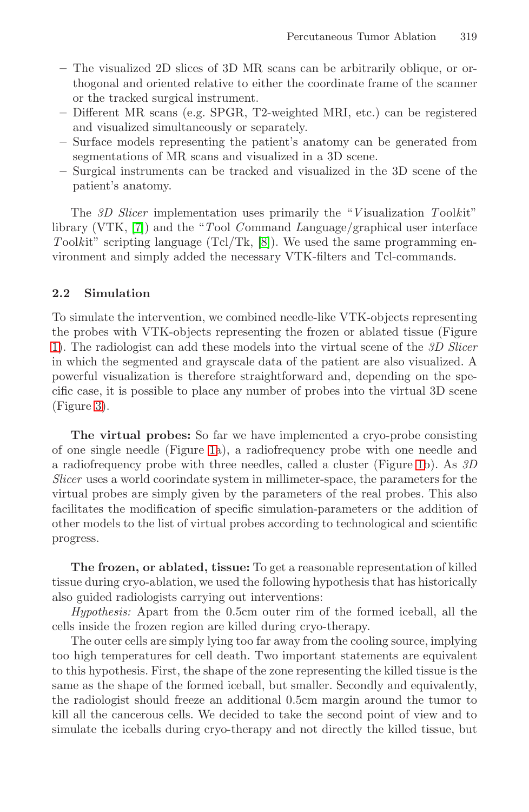- **–** The visualized 2D slices of 3D MR scans can be arbitrarily oblique, or orthogonal and oriented relative to either the coordinate frame of the scanner or the tracked surgical instrument.
- **–** Different MR scans (e.g. SPGR, T2-weighted MRI, etc.) can be registered and visualized simultaneously or separately.
- **–** Surface models representing the patient's anatomy can be generated from segmentations of MR scans and visualized in a 3D scene.
- **–** Surgical instruments can be tracked and visualized in the 3D scene of the patient's anatomy.

The *3D Slicer* implementation uses primarily the "*V* isualization *T*ool*k*it" library (VTK, [\[7\]](#page-9-4)) and the "*T*ool *C*ommand *L*anguage/graphical user interface *T*ool*k*it" scripting language (Tcl/Tk, [\[8\]](#page-9-5)). We used the same programming environment and simply added the necessary VTK-filters and Tcl-commands.

#### **2.2 Simulation**

To simulate the intervention, we combined needle-like VTK-objects representing the probes with VTK-objects representing the frozen or ablated tissue (Figure [1\)](#page-3-0). The radiologist can add these models into the virtual scene of the *3D Slicer* in which the segmented and grayscale data of the patient are also visualized. A powerful visualization is therefore straightforward and, depending on the specific case, it is possible to place any number of probes into the virtual 3D scene (Figure [3\)](#page-8-0).

**The virtual probes:** So far we have implemented a cryo-probe consisting of one single needle (Figure [1a](#page-3-0)), a radiofrequency probe with one needle and a radiofrequency probe with three needles, called a cluster (Figure [1b](#page-3-0)). As *3D Slicer* uses a world coorindate system in millimeter-space, the parameters for the virtual probes are simply given by the parameters of the real probes. This also facilitates the modification of specific simulation-parameters or the addition of other models to the list of virtual probes according to technological and scientific progress.

**The frozen, or ablated, tissue:** To get a reasonable representation of killed tissue during cryo-ablation, we used the following hypothesis that has historically also guided radiologists carrying out interventions:

*Hypothesis:* Apart from the 0.5cm outer rim of the formed iceball, all the cells inside the frozen region are killed during cryo-therapy.

The outer cells are simply lying too far away from the cooling source, implying too high temperatures for cell death. Two important statements are equivalent to this hypothesis. First, the shape of the zone representing the killed tissue is the same as the shape of the formed iceball, but smaller. Secondly and equivalently, the radiologist should freeze an additional 0.5cm margin around the tumor to kill all the cancerous cells. We decided to take the second point of view and to simulate the iceballs during cryo-therapy and not directly the killed tissue, but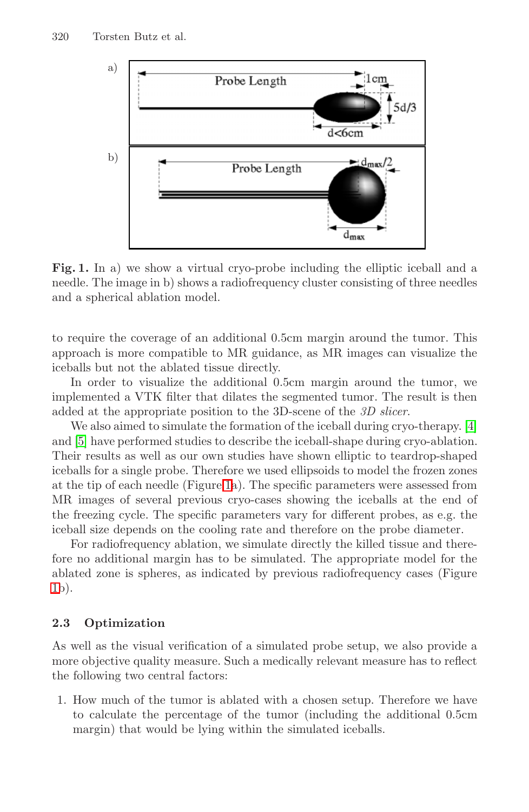

<span id="page-3-0"></span>**Fig. 1.** In a) we show a virtual cryo-probe including the elliptic iceball and a needle. The image in b) shows a radiofrequency cluster consisting of three needles and a spherical ablation model.

to require the coverage of an additional 0.5cm margin around the tumor. This approach is more compatible to MR guidance, as MR images can visualize the iceballs but not the ablated tissue directly.

In order to visualize the additional 0.5cm margin around the tumor, we implemented a VTK filter that dilates the segmented tumor. The result is then added at the appropriate position to the 3D-scene of the *3D slicer*.

We also aimed to simulate the formation of the iceball during cryo-therapy. [\[4\]](#page-9-6) and [\[5\]](#page-9-7) have performed studies to describe the iceball-shape during cryo-ablation. Their results as well as our own studies have shown elliptic to teardrop-shaped iceballs for a single probe. Therefore we used ellipsoids to model the frozen zones at the tip of each needle (Figure [1](#page-3-0)a). The specific parameters were assessed from MR images of several previous cryo-cases showing the iceballs at the end of the freezing cycle. The specific parameters vary for different probes, as e.g. the iceball size depends on the cooling rate and therefore on the probe diameter.

For radiofrequency ablation, we simulate directly the killed tissue and therefore no additional margin has to be simulated. The appropriate model for the ablated zone is spheres, as indicated by previous radiofrequency cases (Figure [1b](#page-3-0)).

#### **2.3 Optimization**

As well as the visual verification of a simulated probe setup, we also provide a more objective quality measure. Such a medically relevant measure has to reflect the following two central factors:

1. How much of the tumor is ablated with a chosen setup. Therefore we have to calculate the percentage of the tumor (including the additional 0.5cm margin) that would be lying within the simulated iceballs.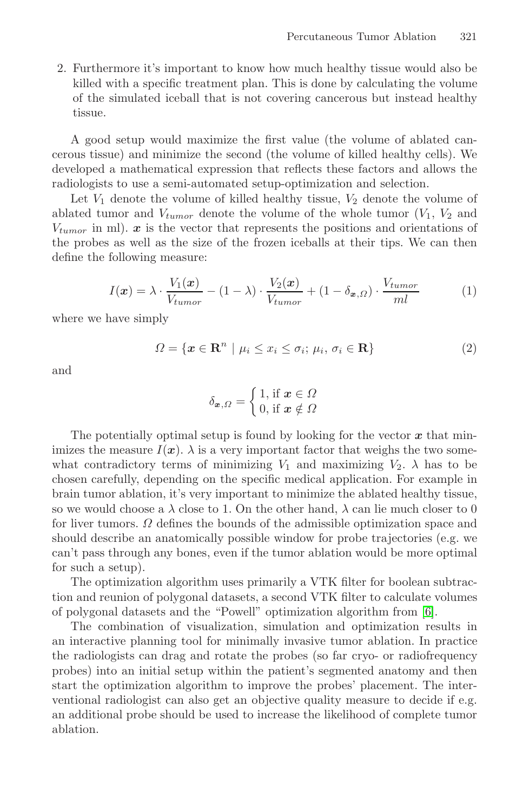2. Furthermore it's important to know how much healthy tissue would also be killed with a specific treatment plan. This is done by calculating the volume of the simulated iceball that is not covering cancerous but instead healthy tissue.

A good setup would maximize the first value (the volume of ablated cancerous tissue) and minimize the second (the volume of killed healthy cells). We developed a mathematical expression that reflects these factors and allows the radiologists to use a semi-automated setup-optimization and selection.

Let  $V_1$  denote the volume of killed healthy tissue,  $V_2$  denote the volume of ablated tumor and  $V_{tumor}$  denote the volume of the whole tumor  $(V_1, V_2)$  and  $V_{tumor}$  in ml).  $\boldsymbol{x}$  is the vector that represents the positions and orientations of the probes as well as the size of the frozen iceballs at their tips. We can then define the following measure:

$$
I(\boldsymbol{x}) = \lambda \cdot \frac{V_1(\boldsymbol{x})}{V_{tumor}} - (1 - \lambda) \cdot \frac{V_2(\boldsymbol{x})}{V_{tumor}} + (1 - \delta_{\boldsymbol{x}, \Omega}) \cdot \frac{V_{tumor}}{m l}
$$
(1)

<span id="page-4-0"></span>where we have simply

$$
\Omega = \{ \mathbf{x} \in \mathbf{R}^n \mid \mu_i \le x_i \le \sigma_i; \mu_i, \sigma_i \in \mathbf{R} \}
$$
\n
$$
(2)
$$

and

$$
\delta_{\boldsymbol{x},\Omega} = \begin{cases} 1, \text{if } \boldsymbol{x} \in \Omega \\ 0, \text{if } \boldsymbol{x} \notin \Omega \end{cases}
$$

The potentially optimal setup is found by looking for the vector *x* that minimizes the measure  $I(x)$ .  $\lambda$  is a very important factor that weighs the two somewhat contradictory terms of minimizing  $V_1$  and maximizing  $V_2$ .  $\lambda$  has to be chosen carefully, depending on the specific medical application. For example in brain tumor ablation, it's very important to minimize the ablated healthy tissue, so we would choose a  $\lambda$  close to 1. On the other hand,  $\lambda$  can lie much closer to 0 for liver tumors.  $\Omega$  defines the bounds of the admissible optimization space and should describe an anatomically possible window for probe trajectories (e.g. we can't pass through any bones, even if the tumor ablation would be more optimal for such a setup).

The optimization algorithm uses primarily a VTK filter for boolean subtraction and reunion of polygonal datasets, a second VTK filter to calculate volumes of polygonal datasets and the "Powell" optimization algorithm from [\[6\]](#page-9-8).

The combination of visualization, simulation and optimization results in an interactive planning tool for minimally invasive tumor ablation. In practice the radiologists can drag and rotate the probes (so far cryo- or radiofrequency probes) into an initial setup within the patient's segmented anatomy and then start the optimization algorithm to improve the probes' placement. The interventional radiologist can also get an objective quality measure to decide if e.g. an additional probe should be used to increase the likelihood of complete tumor ablation.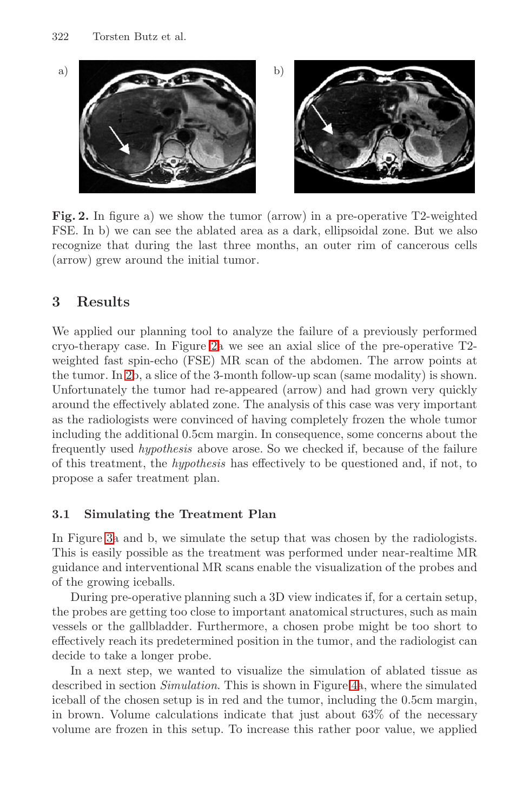

<span id="page-5-0"></span>**Fig. 2.** In figure a) we show the tumor (arrow) in a pre-operative T2-weighted FSE. In b) we can see the ablated area as a dark, ellipsoidal zone. But we also recognize that during the last three months, an outer rim of cancerous cells (arrow) grew around the initial tumor.

### **3 Results**

We applied our planning tool to analyze the failure of a previously performed cryo-therapy case. In Figure [2a](#page-5-0) we see an axial slice of the pre-operative T2 weighted fast spin-echo (FSE) MR scan of the abdomen. The arrow points at the tumor. In [2b](#page-5-0), a slice of the 3-month follow-up scan (same modality) is shown. Unfortunately the tumor had re-appeared (arrow) and had grown very quickly around the effectively ablated zone. The analysis of this case was very important as the radiologists were convinced of having completely frozen the whole tumor including the additional 0.5cm margin. In consequence, some concerns about the frequently used *hypothesis* above arose. So we checked if, because of the failure of this treatment, the *hypothesis* has effectively to be questioned and, if not, to propose a safer treatment plan.

#### **3.1 Simulating the Treatment Plan**

In Figure [3](#page-8-0)a and b, we simulate the setup that was chosen by the radiologists. This is easily possible as the treatment was performed under near-realtime MR guidance and interventional MR scans enable the visualization of the probes and of the growing iceballs.

During pre-operative planning such a 3D view indicates if, for a certain setup, the probes are getting too close to important anatomical structures, such as main vessels or the gallbladder. Furthermore, a chosen probe might be too short to effectively reach its predetermined position in the tumor, and the radiologist can decide to take a longer probe.

In a next step, we wanted to visualize the simulation of ablated tissue as described in section *Simulation*. This is shown in Figure [4a](#page-8-1), where the simulated iceball of the chosen setup is in red and the tumor, including the 0.5cm margin, in brown. Volume calculations indicate that just about 63% of the necessary volume are frozen in this setup. To increase this rather poor value, we applied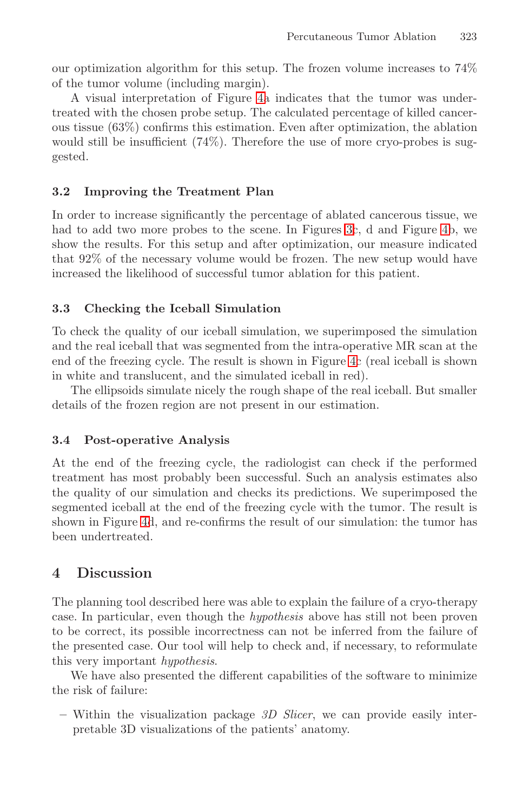our optimization algorithm for this setup. The frozen volume increases to 74% of the tumor volume (including margin).

A visual interpretation of Figure [4a](#page-8-1) indicates that the tumor was undertreated with the chosen probe setup. The calculated percentage of killed cancerous tissue (63%) confirms this estimation. Even after optimization, the ablation would still be insufficient (74%). Therefore the use of more cryo-probes is suggested.

#### **3.2 Improving the Treatment Plan**

In order to increase significantly the percentage of ablated cancerous tissue, we had to add two more probes to the scene. In Figures [3c](#page-8-0), d and Figure [4b](#page-8-1), we show the results. For this setup and after optimization, our measure indicated that 92% of the necessary volume would be frozen. The new setup would have increased the likelihood of successful tumor ablation for this patient.

#### **3.3 Checking the Iceball Simulation**

To check the quality of our iceball simulation, we superimposed the simulation and the real iceball that was segmented from the intra-operative MR scan at the end of the freezing cycle. The result is shown in Figure [4](#page-8-1)c (real iceball is shown in white and translucent, and the simulated iceball in red).

The ellipsoids simulate nicely the rough shape of the real iceball. But smaller details of the frozen region are not present in our estimation.

#### **3.4 Post-operative Analysis**

At the end of the freezing cycle, the radiologist can checkif the performed treatment has most probably been successful. Such an analysis estimates also the quality of our simulation and checks its predictions. We superimposed the segmented iceball at the end of the freezing cycle with the tumor. The result is shown in Figure [4d](#page-8-1), and re-confirms the result of our simulation: the tumor has been undertreated.

### **4 Discussion**

The planning tool described here was able to explain the failure of a cryo-therapy case. In particular, even though the *hypothesis* above has still not been proven to be correct, its possible incorrectness can not be inferred from the failure of the presented case. Our tool will help to checkand, if necessary, to reformulate this very important *hypothesis*.

We have also presented the different capabilities of the software to minimize the risk of failure:

**–** Within the visualization package *3D Slicer*, we can provide easily interpretable 3D visualizations of the patients' anatomy.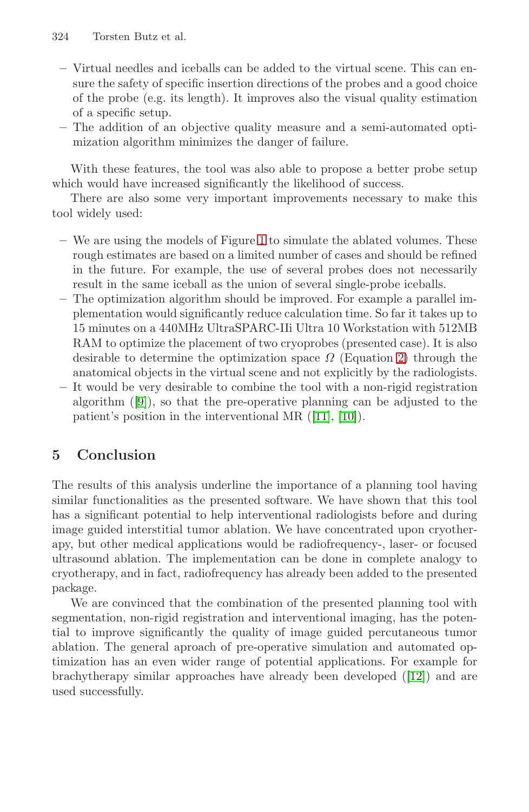- **–** Virtual needles and iceballs can be added to the virtual scene. This can ensure the safety of specific insertion directions of the probes and a good choice of the probe (e.g. its length). It improves also the visual quality estimation of a specific setup.
- **–** The addition of an objective quality measure and a semi-automated optimization algorithm minimizes the danger of failure.

With these features, the tool was also able to propose a better probe setup which would have increased significantly the likelihood of success.

There are also some very important improvements necessary to make this tool widely used:

- **–** We are using the models of Figure [1](#page-3-0) to simulate the ablated volumes. These rough estimates are based on a limited number of cases and should be refined in the future. For example, the use of several probes does not necessarily result in the same iceball as the union of several single-probe iceballs.
- **–** The optimization algorithm should be improved. For example a parallel implementation would significantly reduce calculation time. So far it takes up to 15 minutes on a 440MHz UltraSPARC-IIi Ultra 10 Workstation with 512MB RAM to optimize the placement of two cryoprobes (presented case). It is also desirable to determine the optimization space  $\Omega$  (Equation [2\)](#page-4-0) through the anatomical objects in the virtual scene and not explicitly by the radiologists.
- **–** It would be very desirable to combine the tool with a non-rigid registration algorithm ([\[9\]](#page-9-9)), so that the pre-operative planning can be adjusted to the patient's position in the interventional MR ([\[11\]](#page-9-10), [\[10](#page-9-11)]).

# **5 Conclusion**

The results of this analysis underline the importance of a planning tool having similar functionalities as the presented software. We have shown that this tool has a significant potential to help interventional radiologists before and during image guided interstitial tumor ablation. We have concentrated upon cryotherapy, but other medical applications would be radiofrequency-, laser- or focused ultrasound ablation. The implementation can be done in complete analogy to cryotherapy, and in fact, radiofrequency has already been added to the presented package.

We are convinced that the combination of the presented planning tool with segmentation, non-rigid registration and interventional imaging, has the potential to improve significantly the quality of image guided percutaneous tumor ablation. The general aproach of pre-operative simulation and automated optimization has an even wider range of potential applications. For example for brachytherapy similar approaches have already been developed ([\[12](#page-9-12)]) and are used successfully.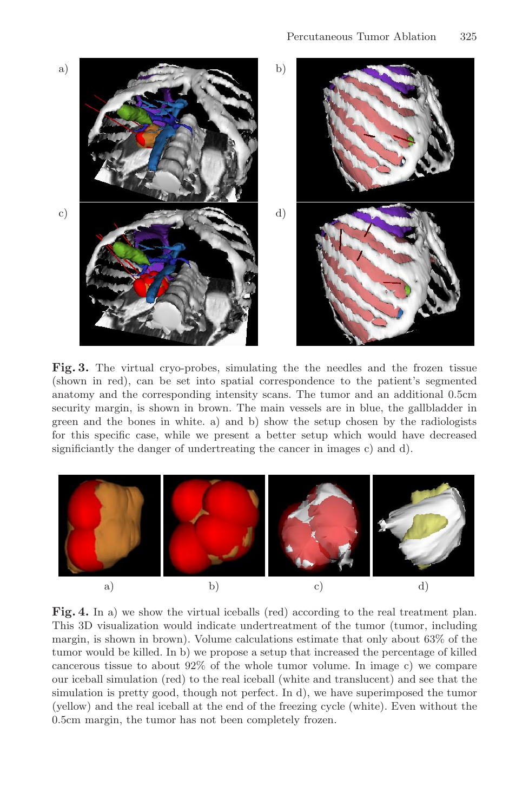

<span id="page-8-0"></span>**Fig. 3.** The virtual cryo-probes, simulating the the needles and the frozen tissue (shown in red), can be set into spatial correspondence to the patient's segmented anatomy and the corresponding intensity scans. The tumor and an additional 0.5cm security margin, is shown in brown. The main vessels are in blue, the gallbladder in green and the bones in white. a) and b) show the setup chosen by the radiologists for this specific case, while we present a better setup which would have decreased significiantly the danger of undertreating the cancer in images c) and d).



<span id="page-8-1"></span>**Fig. 4.** In a) we show the virtual iceballs (red) according to the real treatment plan. This 3D visualization would indicate undertreatment of the tumor (tumor, including margin, is shown in brown). Volume calculations estimate that only about 63% of the tumor would be killed. In b) we propose a setup that increased the percentage of killed cancerous tissue to about 92% of the whole tumor volume. In image c) we compare our iceball simulation (red) to the real iceball (white and translucent) and see that the simulation is pretty good, though not perfect. In d), we have superimposed the tumor (yellow) and the real iceball at the end of the freezing cycle (white). Even without the 0.5cm margin, the tumor has not been completely frozen.